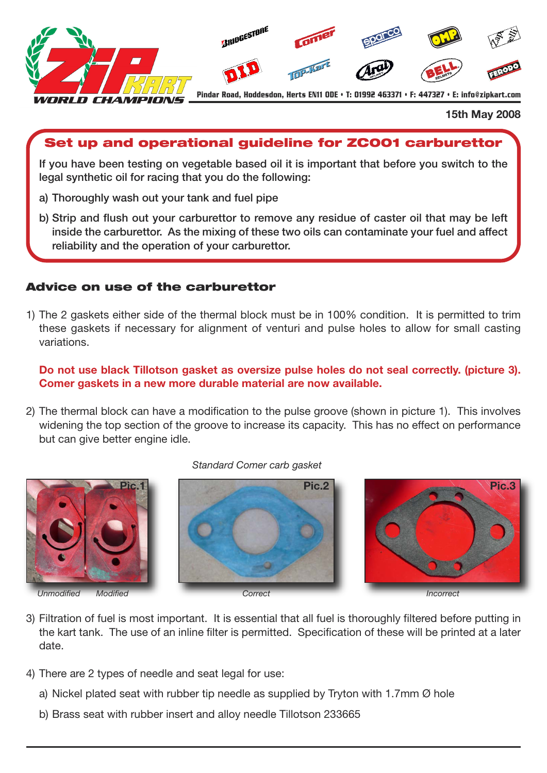

#### **15th May 2008**

# **Set up and operational guideline for ZC001 carburettor**

**If you have been testing on vegetable based oil it is important that before you switch to the legal synthetic oil for racing that you do the following:**

- **a) Thoroughly wash out your tank and fuel pipe**
- **b) Strip and flush out your carburettor to remove any residue of caster oil that may be left inside the carburettor. As the mixing of these two oils can contaminate your fuel and affect reliability and the operation of your carburettor.**

## **Advice on use of the carburettor**

1) The 2 gaskets either side of the thermal block must be in 100% condition. It is permitted to trim these gaskets if necessary for alignment of venturi and pulse holes to allow for small casting variations.

**Do not use black Tillotson gasket as oversize pulse holes do not seal correctly. (picture 3). Comer gaskets in a new more durable material are now available.**

2) The thermal block can have a modification to the pulse groove (shown in picture 1). This involves widening the top section of the groove to increase its capacity. This has no effect on performance but can give better engine idle.



#### *Standard Comer carb gasket*





- 3) Filtration of fuel is most important. It is essential that all fuel is thoroughly filtered before putting in the kart tank. The use of an inline filter is permitted. Specification of these will be printed at a later date.
- 4) There are 2 types of needle and seat legal for use:
	- a) Nickel plated seat with rubber tip needle as supplied by Tryton with 1.7mm  $\varnothing$  hole
	- b) Brass seat with rubber insert and alloy needle Tillotson 233665